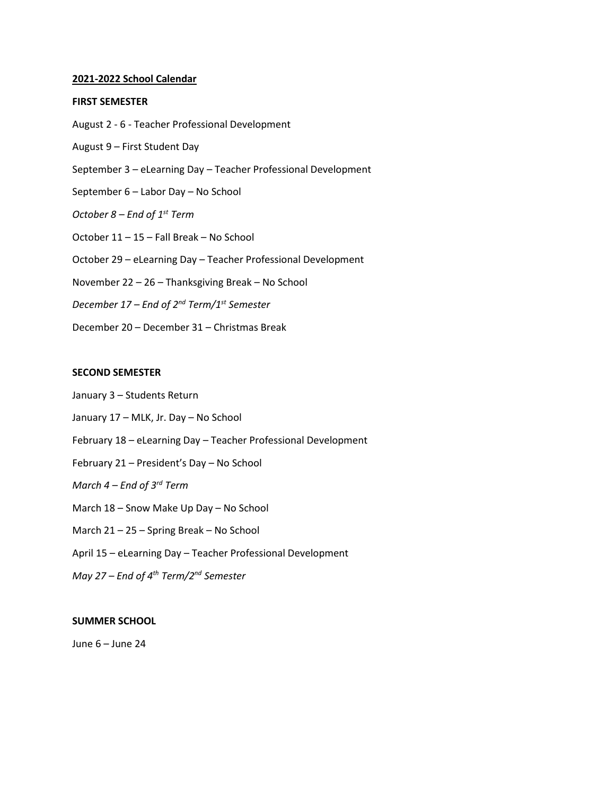#### **2021-2022 School Calendar**

#### **FIRST SEMESTER**

- August 2 6 Teacher Professional Development
- August 9 First Student Day
- September 3 eLearning Day Teacher Professional Development
- September 6 Labor Day No School
- *October 8 – End of 1st Term*
- October 11 15 Fall Break No School
- October 29 eLearning Day Teacher Professional Development
- November 22 26 Thanksgiving Break No School
- *December 17 – End of 2 nd Term/1st Semester*
- December 20 December 31 Christmas Break

### **SECOND SEMESTER**

- January 3 Students Return
- January 17 MLK, Jr. Day No School
- February 18 eLearning Day Teacher Professional Development
- February 21 President's Day No School
- *March 4 – End of 3rd Term*
- March 18 Snow Make Up Day No School
- March 21 25 Spring Break No School
- April 15 eLearning Day Teacher Professional Development
- *May 27 – End of 4 th Term/2nd Semester*

## **SUMMER SCHOOL**

June 6 – June 24